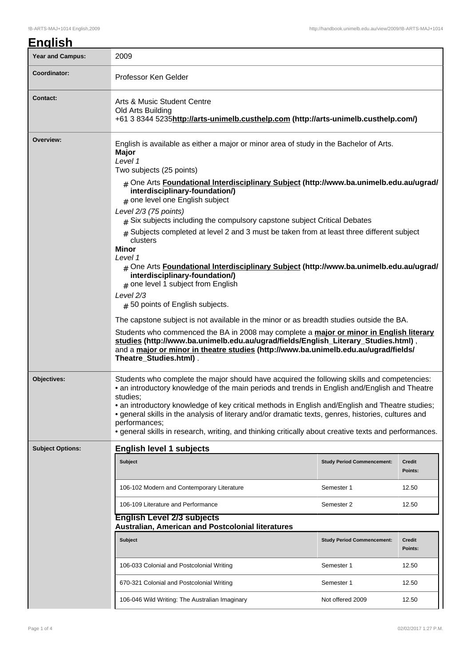| ıali<br>Λ<br>ы |
|----------------|
|----------------|

| <b>Year and Campus:</b> | 2009                                                                                                                                                                                                                                                                                                                                                                                                                                                                                                                                                                                                                                                                                                                                                                                                                                                                                                                                                                                                                                                                                                                                                                       |                                   |                   |  |  |  |
|-------------------------|----------------------------------------------------------------------------------------------------------------------------------------------------------------------------------------------------------------------------------------------------------------------------------------------------------------------------------------------------------------------------------------------------------------------------------------------------------------------------------------------------------------------------------------------------------------------------------------------------------------------------------------------------------------------------------------------------------------------------------------------------------------------------------------------------------------------------------------------------------------------------------------------------------------------------------------------------------------------------------------------------------------------------------------------------------------------------------------------------------------------------------------------------------------------------|-----------------------------------|-------------------|--|--|--|
| Coordinator:            | Professor Ken Gelder                                                                                                                                                                                                                                                                                                                                                                                                                                                                                                                                                                                                                                                                                                                                                                                                                                                                                                                                                                                                                                                                                                                                                       |                                   |                   |  |  |  |
| <b>Contact:</b>         | Arts & Music Student Centre<br>Old Arts Building<br>+61 3 8344 5235http://arts-unimelb.custhelp.com (http://arts-unimelb.custhelp.com/)                                                                                                                                                                                                                                                                                                                                                                                                                                                                                                                                                                                                                                                                                                                                                                                                                                                                                                                                                                                                                                    |                                   |                   |  |  |  |
| Overview:               | English is available as either a major or minor area of study in the Bachelor of Arts.<br>Major<br>Level 1<br>Two subjects (25 points)<br># One Arts Foundational Interdisciplinary Subject (http://www.ba.unimelb.edu.au/ugrad/<br>interdisciplinary-foundation/)<br># one level one English subject<br>Level 2/3 (75 points)<br>$*$ Six subjects including the compulsory capstone subject Critical Debates<br>$_{\text{\#}}$ Subjects completed at level 2 and 3 must be taken from at least three different subject<br>clusters<br>Minor<br>Level 1<br># One Arts Foundational Interdisciplinary Subject (http://www.ba.unimelb.edu.au/ugrad/<br>interdisciplinary-foundation/)<br>$#$ one level 1 subject from English<br>Level 2/3<br># 50 points of English subjects.<br>The capstone subject is not available in the minor or as breadth studies outside the BA.<br>Students who commenced the BA in 2008 may complete a major or minor in English literary<br>studies (http://www.ba.unimelb.edu.au/ugrad/fields/English_Literary_Studies.html),<br>and a major or minor in theatre studies (http://www.ba.unimelb.edu.au/ugrad/fields/<br>Theatre_Studies.html). |                                   |                   |  |  |  |
| Objectives:             | Students who complete the major should have acquired the following skills and competencies:<br>• an introductory knowledge of the main periods and trends in English and/English and Theatre<br>studies:<br>• an introductory knowledge of key critical methods in English and/English and Theatre studies;<br>• general skills in the analysis of literary and/or dramatic texts, genres, histories, cultures and<br>performances;<br>• general skills in research, writing, and thinking critically about creative texts and performances.                                                                                                                                                                                                                                                                                                                                                                                                                                                                                                                                                                                                                               |                                   |                   |  |  |  |
| <b>Subject Options:</b> | <b>English level 1 subjects</b>                                                                                                                                                                                                                                                                                                                                                                                                                                                                                                                                                                                                                                                                                                                                                                                                                                                                                                                                                                                                                                                                                                                                            |                                   |                   |  |  |  |
|                         | <b>Subject</b>                                                                                                                                                                                                                                                                                                                                                                                                                                                                                                                                                                                                                                                                                                                                                                                                                                                                                                                                                                                                                                                                                                                                                             | <b>Study Period Commencement:</b> | Credit<br>Points: |  |  |  |
|                         | 106-102 Modern and Contemporary Literature                                                                                                                                                                                                                                                                                                                                                                                                                                                                                                                                                                                                                                                                                                                                                                                                                                                                                                                                                                                                                                                                                                                                 | Semester 1                        | 12.50             |  |  |  |
|                         | 106-109 Literature and Performance                                                                                                                                                                                                                                                                                                                                                                                                                                                                                                                                                                                                                                                                                                                                                                                                                                                                                                                                                                                                                                                                                                                                         | Semester 2                        | 12.50             |  |  |  |
|                         | <b>English Level 2/3 subjects</b><br>Australian, American and Postcolonial literatures                                                                                                                                                                                                                                                                                                                                                                                                                                                                                                                                                                                                                                                                                                                                                                                                                                                                                                                                                                                                                                                                                     |                                   |                   |  |  |  |
|                         | <b>Subject</b>                                                                                                                                                                                                                                                                                                                                                                                                                                                                                                                                                                                                                                                                                                                                                                                                                                                                                                                                                                                                                                                                                                                                                             | <b>Study Period Commencement:</b> | Credit<br>Points: |  |  |  |
|                         | 106-033 Colonial and Postcolonial Writing                                                                                                                                                                                                                                                                                                                                                                                                                                                                                                                                                                                                                                                                                                                                                                                                                                                                                                                                                                                                                                                                                                                                  | Semester 1                        | 12.50             |  |  |  |
|                         | 670-321 Colonial and Postcolonial Writing                                                                                                                                                                                                                                                                                                                                                                                                                                                                                                                                                                                                                                                                                                                                                                                                                                                                                                                                                                                                                                                                                                                                  | Semester 1                        | 12.50             |  |  |  |
|                         | 106-046 Wild Writing: The Australian Imaginary                                                                                                                                                                                                                                                                                                                                                                                                                                                                                                                                                                                                                                                                                                                                                                                                                                                                                                                                                                                                                                                                                                                             | Not offered 2009                  | 12.50             |  |  |  |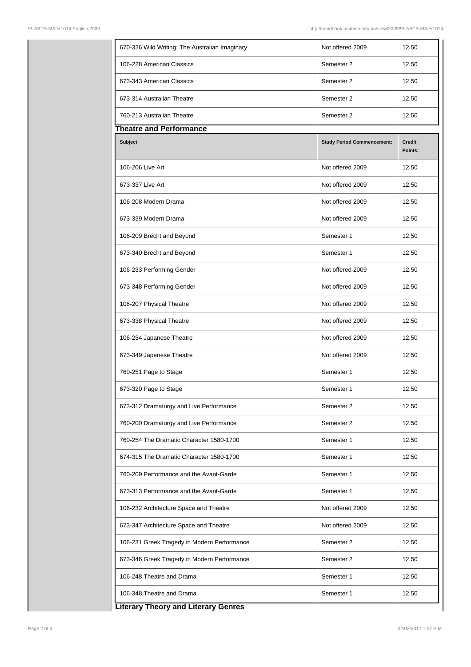| 670-326 Wild Writing: The Australian Imaginary | Not offered 2009                  | 12.50                    |
|------------------------------------------------|-----------------------------------|--------------------------|
| 106-228 American Classics                      | Semester 2                        | 12.50                    |
| 673-343 American Classics                      | Semester 2                        | 12.50                    |
| 673-314 Australian Theatre                     | Semester 2                        | 12.50                    |
| 760-213 Australian Theatre                     | Semester 2                        | 12.50                    |
| <b>Theatre and Performance</b>                 |                                   |                          |
| <b>Subject</b>                                 | <b>Study Period Commencement:</b> | <b>Credit</b><br>Points: |
| 106-206 Live Art                               | Not offered 2009                  | 12.50                    |
| 673-337 Live Art                               | Not offered 2009                  | 12.50                    |
| 106-208 Modern Drama                           | Not offered 2009                  | 12.50                    |
| 673-339 Modern Drama                           | Not offered 2009                  | 12.50                    |
| 106-209 Brecht and Beyond                      | Semester 1                        | 12.50                    |
| 673-340 Brecht and Beyond                      | Semester 1                        | 12.50                    |
| 106-233 Performing Gender                      | Not offered 2009                  | 12.50                    |
| 673-348 Performing Gender                      | Not offered 2009                  | 12.50                    |
| 106-207 Physical Theatre                       | Not offered 2009                  | 12.50                    |
| 673-338 Physical Theatre                       | Not offered 2009                  | 12.50                    |
| 106-234 Japanese Theatre                       | Not offered 2009                  | 12.50                    |
| 673-349 Japanese Theatre                       | Not offered 2009                  | 12.50                    |
| 760-251 Page to Stage                          | Semester 1                        | 12.50                    |
| 673-320 Page to Stage                          | Semester 1                        | 12.50                    |
| 673-312 Dramaturgy and Live Performance        | Semester 2                        | 12.50                    |
| 760-200 Dramaturgy and Live Performance        | Semester 2                        | 12.50                    |
| 760-254 The Dramatic Character 1580-1700       | Semester 1                        | 12.50                    |
| 674-315 The Dramatic Character 1580-1700       | Semester 1                        | 12.50                    |
| 760-209 Performance and the Avant-Garde        | Semester 1                        | 12.50                    |
| 673-313 Performance and the Avant-Garde        | Semester 1                        | 12.50                    |
| 106-232 Architecture Space and Theatre         | Not offered 2009                  | 12.50                    |
| 673-347 Architecture Space and Theatre         | Not offered 2009                  | 12.50                    |
| 106-231 Greek Tragedy in Modern Performance    | Semester 2                        | 12.50                    |
|                                                |                                   |                          |
| 673-346 Greek Tragedy in Modern Performance    | Semester 2                        | 12.50                    |
| 106-248 Theatre and Drama                      | Semester 1                        | 12.50                    |

**Literary Theory and Literary Genres**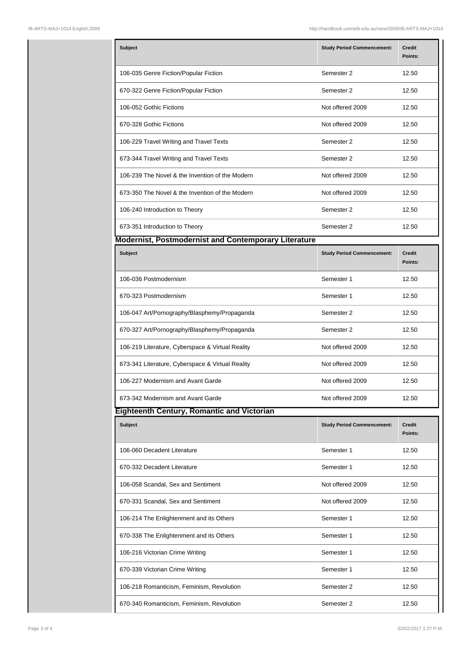| <b>Subject</b>                                              | <b>Study Period Commencement:</b> | Credit<br>Points: |
|-------------------------------------------------------------|-----------------------------------|-------------------|
| 106-035 Genre Fiction/Popular Fiction                       | Semester 2                        | 12.50             |
| 670-322 Genre Fiction/Popular Fiction                       | Semester 2                        | 12.50             |
| 106-052 Gothic Fictions                                     | Not offered 2009                  | 12.50             |
| 670-328 Gothic Fictions                                     | Not offered 2009                  | 12.50             |
| 106-229 Travel Writing and Travel Texts                     | Semester 2                        | 12.50             |
| 673-344 Travel Writing and Travel Texts                     | Semester 2                        | 12.50             |
| 106-239 The Novel & the Invention of the Modern             | Not offered 2009                  | 12.50             |
| 673-350 The Novel & the Invention of the Modern             | Not offered 2009                  | 12.50             |
| 106-240 Introduction to Theory                              | Semester 2                        | 12.50             |
| 673-351 Introduction to Theory                              | Semester 2                        | 12.50             |
| <b>Modernist, Postmodernist and Contemporary Literature</b> |                                   |                   |
| <b>Subject</b>                                              | <b>Study Period Commencement:</b> | Credit<br>Points: |
| 106-036 Postmodernism                                       | Semester 1                        | 12.50             |
| 670-323 Postmodernism                                       | Semester 1                        | 12.50             |
| 106-047 Art/Pornography/Blasphemy/Propaganda                | Semester 2                        | 12.50             |
| 670-327 Art/Pornography/Blasphemy/Propaganda                | Semester 2                        | 12.50             |
| 106-219 Literature, Cyberspace & Virtual Reality            | Not offered 2009                  | 12.50             |
| 673-341 Literature, Cyberspace & Virtual Reality            | Not offered 2009                  | 12.50             |
| 106-227 Modernism and Avant Garde                           | Not offered 2009                  | 12.50             |
| 673-342 Modernism and Avant Garde                           | Not offered 2009                  | 12.50             |
| <b>Eighteenth Century, Romantic and Victorian</b>           |                                   |                   |
| <b>Subject</b>                                              | <b>Study Period Commencement:</b> | Credit<br>Points: |
| 106-060 Decadent Literature                                 | Semester 1                        | 12.50             |
| 670-332 Decadent Literature                                 | Semester 1                        | 12.50             |
| 106-058 Scandal, Sex and Sentiment                          | Not offered 2009                  | 12.50             |
| 670-331 Scandal, Sex and Sentiment                          | Not offered 2009                  | 12.50             |
| 106-214 The Enlightenment and its Others                    | Semester 1                        | 12.50             |
| 670-338 The Enlightenment and its Others                    | Semester 1                        | 12.50             |
| 106-216 Victorian Crime Writing                             | Semester 1                        | 12.50             |
| 670-339 Victorian Crime Writing                             | Semester 1                        | 12.50             |
| 106-218 Romanticism, Feminism, Revolution                   | Semester 2                        | 12.50             |
| 670-340 Romanticism, Feminism, Revolution                   | Semester 2                        | 12.50             |
|                                                             |                                   |                   |